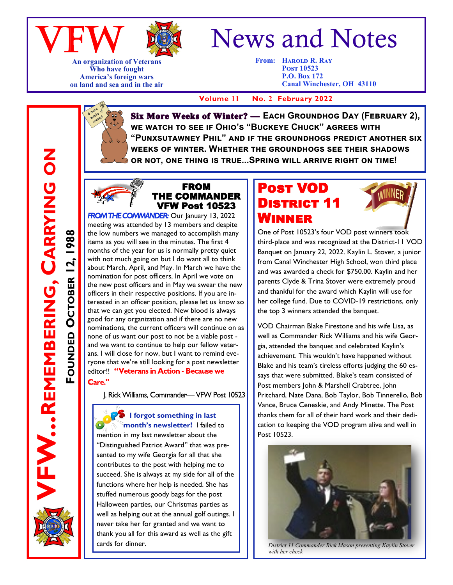



**An organization of Veterans Who have fought America's foreign wars on land and sea and in the air**

# News and Notes

**From: Harold R. Ray Post 10523 P.O. Box 172 Canal Winchester, OH 43110**

 **Volume 11 No. 2 February 2022**

**Six More Weeks of Winter?** - Each Groundhog Day (FEBRUARY 2), **we watch to see if Ohio's "Buckeye Chuck" agrees with "Punxsutawney Phil" and if the groundhogs predict another six weeks of winter. Whether the groundhogs see their shadows or not, one thing is true...Spring will arrive right on time!**



FROM THE COMMANDER VFW Post 10523

**FROM THE COMMANDER:** Our January 13, 2022 meeting was attended by 13 members and despite the low numbers we managed to accomplish many items as you will see in the minutes. The first 4 months of the year for us is normally pretty quiet with not much going on but I do want all to think about March, April, and May. In March we have the nomination for post officers, In April we vote on the new post officers and in May we swear the new officers in their respective positions. If you are interested in an officer position, please let us know so that we can get you elected. New blood is always good for any organization and if there are no new nominations, the current officers will continue on as none of us want our post to not be a viable post and we want to continue to help our fellow veterans. I will close for now, but I want to remind everyone that we're still looking for a post newsletter editor!! "Veterans in Action - Because we Care."

J. Rick Williams, Commander-VFW Post 10523

*P***S** I forgot something in last **month's newsletter!** I failed to

mention in my last newsletter about the "Distinguished Patriot Award" that was presented to my wife Georgia for all that she contributes to the post with helping me to succeed. She is always at my side for all of the functions where her help is needed. She has stuffed numerous goody bags for the post Halloween parties, our Christmas parties as well as helping out at the annual golf outings. I never take her for granted and we want to thank you all for this award as well as the gift

### Post VOD DISTRICT 11 Winner



One of Post 10523's four VOD post winners took third-place and was recognized at the District-11 VOD Banquet on January 22, 2022. Kaylin L. Stover, a junior from Canal Winchester High School, won third place and was awarded a check for \$750.00. Kaylin and her parents Clyde & Trina Stover were extremely proud and thankful for the award which Kaylin will use for her college fund. Due to COVID-19 restrictions, only the top 3 winners attended the banquet.

VOD Chairman Blake Firestone and his wife Lisa, as well as Commander Rick Williams and his wife Georgia, attended the banquet and celebrated Kaylin's achievement. This wouldn't have happened without Blake and his team's tireless efforts judging the 60 essays that were submitted. Blake's team consisted of Post members John & Marshell Crabtree, John Pritchard, Nate Dana, Bob Taylor, Bob Tinnerello, Bob Vance, Bruce Ceneskie, and Andy Minette. The Post thanks them for all of their hard work and their dedication to keeping the VOD program alive and well in Post 10523.



**Cards for dinner. Cards for dinner.** *District 11 Commander Rick Mason presenting Kaylin Stover**District 11 Commander Rick Mason presenting Kaylin Stover with her check* 

**FW...REMEMBERING, CARRYING ON REMEMBERING, CARRYING ON OCTOBER 12, 1988 OCTOBER 12, 1988 FOUNDED**